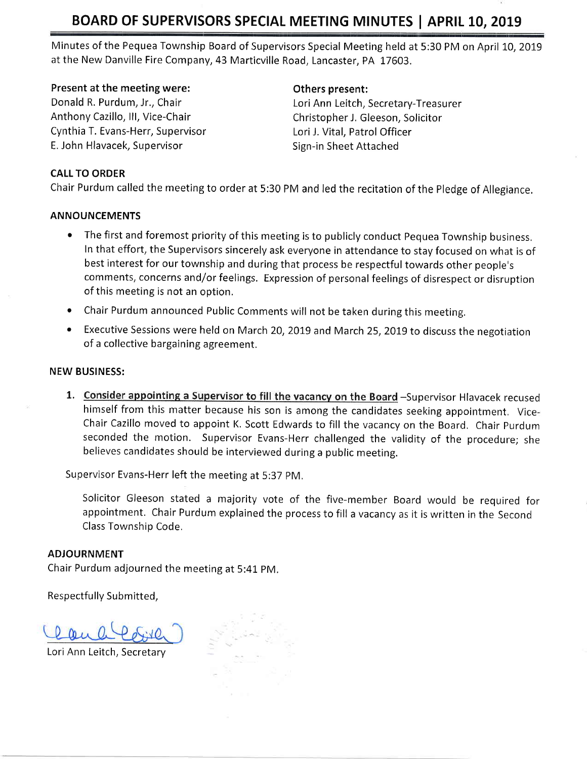# BOARD OF SUPERVISORS SPECIAL MEETING MINUTES | APRIL 10, 2019

Minutes of the Pequea Township Board of Supervisors Special Meeting held at 5:30 PM on April 10, 2019 at the New Danville Fire Company, 43 Marticville Road, Lancaster, PA 17603.

## Present at the meeting were:

Donald R. Purdum, Jr., Chair Anthony Cazillo, lll, Vice-Chair Cynthia T. Evans-Herr, Supervisor E. John Hlavacek, Supervisor

## Others present:

Lori Ann Leitch, Secretary-Treasurer Christopher J. Gleeson, Solicitor Lori J. Vital, Patrol Officer Sign-in Sheet Attached

# CALL TO ORDER

Chair Purdum called the meeting to order at 5:30 PM and led the recitation of the Pledge of Allegiance.

# ANNOUNCEMENTS

- The first and foremost priority of this meeting is to publicly conduct Pequea Township business. In that effort, the Supervisors sincerely ask everyone in attendance to stay focused on what is of best interest for our township and during that process be respectful towards other people's comments, concerns and/or feelings. Expression of personal feelings of disrespect or disruption of this meeting is not an option.
- Chair Purdum announced Public Comments will not be taken during this meeting.
- Executive Sessions were held on March 20, 2019 and March 25, 2019 to discuss the negotiation of a collective bargaining agreement.

### NEW BUSINESS:

1. Consider appointing a Supervisor to fill the vacancy on the Board -Supervisor Hlavacek recused himself from this matter because his son is among the candidates seeking appointment. Vice-Chair Cazillo moved to appoint K, Scott Edwards to fill the vacancy on the Board, Chair purdum seconded the motion. Supervisor Evans-Herr challenged the validity of the procedure; she believes candidates should be interviewed during a public meeting.

Supervisor Evans-Herr left the meeting at 5:37 pM,

Solicitor Gleeson stated a majority vote of the five-member Board would be required for appointment. Chair Purdum explained the process to fill a vacancy as it is written in the Second Class Township Code.

### ADJOURNMENT

Chair Purdum adjourned the meeting at 5:41 pM,

Respectfully Submitted,

Lori Ann Leitch, Secretary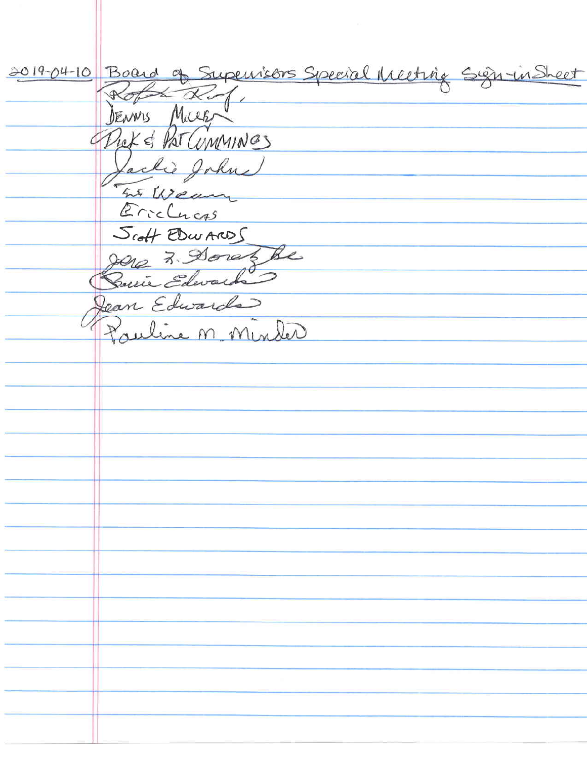2019-04-10 Board of Supervisors Special Meeting Sign inSheet  $\overline{\alpha}$  $\mathscr{P}$ DENNIS MICCE Dick & PAT CUMMINGS Lackie John  $456$ Erichness Scoff EDWARDS oret be  $7.90$ min Eda Jean Edwards uline M Min led